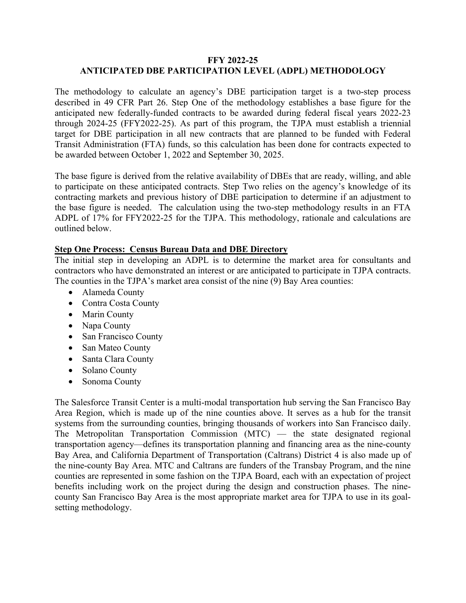# **FFY 2022-25 ANTICIPATED DBE PARTICIPATION LEVEL (ADPL) METHODOLOGY**

The methodology to calculate an agency's DBE participation target is a two-step process described in 49 CFR Part 26. Step One of the methodology establishes a base figure for the anticipated new federally-funded contracts to be awarded during federal fiscal years 2022-23 through 2024-25 (FFY2022-25). As part of this program, the TJPA must establish a triennial target for DBE participation in all new contracts that are planned to be funded with Federal Transit Administration (FTA) funds, so this calculation has been done for contracts expected to be awarded between October 1, 2022 and September 30, 2025.

The base figure is derived from the relative availability of DBEs that are ready, willing, and able to participate on these anticipated contracts. Step Two relies on the agency's knowledge of its contracting markets and previous history of DBE participation to determine if an adjustment to the base figure is needed. The calculation using the two-step methodology results in an FTA ADPL of 17% for FFY2022-25 for the TJPA. This methodology, rationale and calculations are outlined below.

# **Step One Process: Census Bureau Data and DBE Directory**

The initial step in developing an ADPL is to determine the market area for consultants and contractors who have demonstrated an interest or are anticipated to participate in TJPA contracts. The counties in the TJPA's market area consist of the nine (9) Bay Area counties:

- Alameda County
- Contra Costa County
- Marin County
- Napa County
- San Francisco County
- San Mateo County
- Santa Clara County
- Solano County
- Sonoma County

The Salesforce Transit Center is a multi-modal transportation hub serving the San Francisco Bay Area Region, which is made up of the nine counties above. It serves as a hub for the transit systems from the surrounding counties, bringing thousands of workers into San Francisco daily. The Metropolitan Transportation Commission (MTC) — the state designated regional transportation agency—defines its transportation planning and financing area as the nine-county Bay Area, and California Department of Transportation (Caltrans) District 4 is also made up of the nine-county Bay Area. MTC and Caltrans are funders of the Transbay Program, and the nine counties are represented in some fashion on the TJPA Board, each with an expectation of project benefits including work on the project during the design and construction phases. The ninecounty San Francisco Bay Area is the most appropriate market area for TJPA to use in its goalsetting methodology.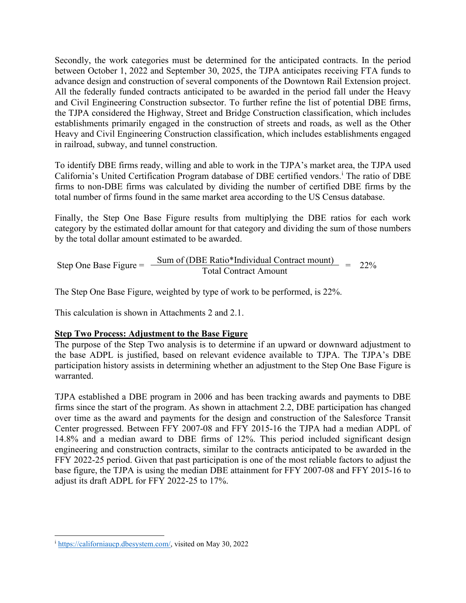Secondly, the work categories must be determined for the anticipated contracts. In the period between October 1, 2022 and September 30, 2025, the TJPA anticipates receiving FTA funds to advance design and construction of several components of the Downtown Rail Extension project. All the federally funded contracts anticipated to be awarded in the period fall under the Heavy and Civil Engineering Construction subsector. To further refine the list of potential DBE firms, the TJPA considered the Highway, Street and Bridge Construction classification, which includes establishments primarily engaged in the construction of streets and roads, as well as the Other Heavy and Civil Engineering Construction classification, which includes establishments engaged in railroad, subway, and tunnel construction.

To identify DBE firms ready, willing and able to work in the TJPA's market area, the TJPA used Cal[i](#page-1-0)fornia's United Certification Program database of DBE certified vendors.<sup>i</sup> The ratio of DBE firms to non-DBE firms was calculated by dividing the number of certified DBE firms by the total number of firms found in the same market area according to the US Census database.

Finally, the Step One Base Figure results from multiplying the DBE ratios for each work category by the estimated dollar amount for that category and dividing the sum of those numbers by the total dollar amount estimated to be awarded.

Step One Base Figure =  $\frac{\text{Sum of (DBE Ratio*Individual Contract mount)}}{\text{Total Contract Amount}} = 22\%$ 

The Step One Base Figure, weighted by type of work to be performed, is 22%.

This calculation is shown in Attachments 2 and 2.1.

# **Step Two Process: Adjustment to the Base Figure**

The purpose of the Step Two analysis is to determine if an upward or downward adjustment to the base ADPL is justified, based on relevant evidence available to TJPA. The TJPA's DBE participation history assists in determining whether an adjustment to the Step One Base Figure is warranted.

TJPA established a DBE program in 2006 and has been tracking awards and payments to DBE firms since the start of the program. As shown in attachment 2.2, DBE participation has changed over time as the award and payments for the design and construction of the Salesforce Transit Center progressed. Between FFY 2007-08 and FFY 2015-16 the TJPA had a median ADPL of 14.8% and a median award to DBE firms of 12%. This period included significant design engineering and construction contracts, similar to the contracts anticipated to be awarded in the FFY 2022-25 period. Given that past participation is one of the most reliable factors to adjust the base figure, the TJPA is using the median DBE attainment for FFY 2007-08 and FFY 2015-16 to adjust its draft ADPL for FFY 2022-25 to 17%.

<span id="page-1-0"></span><sup>i</sup> [https://californiaucp.dbesystem.com/,](https://californiaucp.dbesystem.com/) visited on May 30, 2022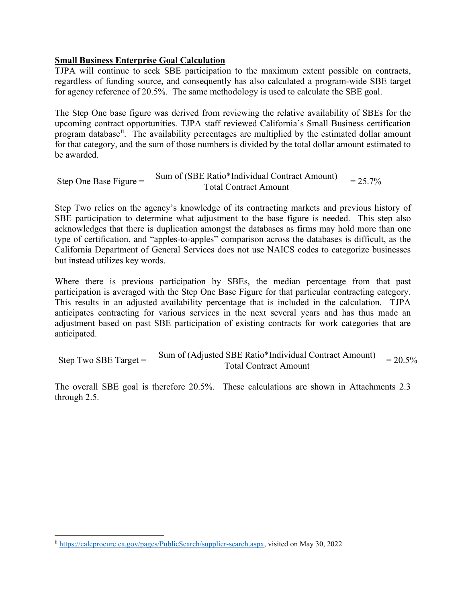# **Small Business Enterprise Goal Calculation**

TJPA will continue to seek SBE participation to the maximum extent possible on contracts, regardless of funding source, and consequently has also calculated a program-wide SBE target for agency reference of 20.5%. The same methodology is used to calculate the SBE goal.

The Step One base figure was derived from reviewing the relative availability of SBEs for the upcoming contract opportunities. TJPA staff reviewed California's Small Business certification program database<sup>[ii](#page-2-0)</sup>. The availability percentages are multiplied by the estimated dollar amount for that category, and the sum of those numbers is divided by the total dollar amount estimated to be awarded.

Step One Base Figure =  $\frac{\text{Sum of (SBE Ratio*Individual Contract Amount)}}{\text{Total Contract Amount}} = 25.7\%$ 

Step Two relies on the agency's knowledge of its contracting markets and previous history of SBE participation to determine what adjustment to the base figure is needed. This step also acknowledges that there is duplication amongst the databases as firms may hold more than one type of certification, and "apples-to-apples" comparison across the databases is difficult, as the California Department of General Services does not use NAICS codes to categorize businesses but instead utilizes key words.

Where there is previous participation by SBEs, the median percentage from that past participation is averaged with the Step One Base Figure for that particular contracting category. This results in an adjusted availability percentage that is included in the calculation. TJPA anticipates contracting for various services in the next several years and has thus made an adjustment based on past SBE participation of existing contracts for work categories that are anticipated.

Step Two SBE Target = 
$$
\frac{\text{Sum of (adjusted SBE Ratio* Individual Contract Amount)}}{\text{Total Contract Amount}} = 20.5\%
$$

The overall SBE goal is therefore 20.5%. These calculations are shown in Attachments 2.3 through 2.5.

<span id="page-2-0"></span>ii [https://caleprocure.ca.gov/pages/PublicSearch/supplier-search.aspx,](https://caleprocure.ca.gov/pages/PublicSearch/supplier-search.aspx) visited on May 30, 2022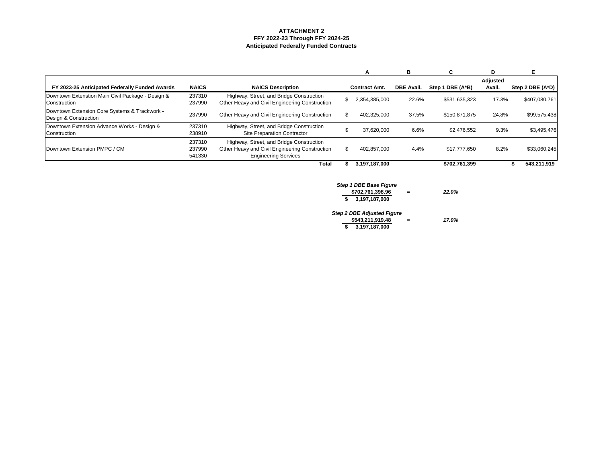# **ATTACHMENT 2 FFY 2022-23 Through FFY 2024-25 Anticipated Federally Funded Contracts**

|                                                                        |                            |                                                                                                                           |    | A                                                                  | В                 | C.               | D                         | Е                |
|------------------------------------------------------------------------|----------------------------|---------------------------------------------------------------------------------------------------------------------------|----|--------------------------------------------------------------------|-------------------|------------------|---------------------------|------------------|
| FY 2023-25 Anticipated Federally Funded Awards                         | <b>NAICS</b>               | <b>NAICS Description</b>                                                                                                  |    | <b>Contract Amt.</b>                                               | <b>DBE Avail.</b> | Step 1 DBE (A*B) | <b>Adjusted</b><br>Avail. | Step 2 DBE (A*D) |
| Downtown Extenstion Main Civil Package - Design &<br>Construction      | 237310<br>237990           | Highway, Street, and Bridge Construction<br>Other Heavy and Civil Engineering Construction                                | \$ | 2,354,385,000                                                      | 22.6%             | \$531,635,323    | 17.3%                     | \$407,080,761    |
| Downtown Extension Core Systems & Trackwork -<br>Design & Construction | 237990                     | Other Heavy and Civil Engineering Construction                                                                            | \$ | 402,325,000                                                        | 37.5%             | \$150,871,875    | 24.8%                     | \$99,575,438     |
| Downtown Extension Advance Works - Design &<br>Construction            | 237310<br>238910           | Highway, Street, and Bridge Construction<br><b>Site Preparation Contractor</b>                                            | \$ | 37,620,000                                                         | 6.6%              | \$2,476,552      | 9.3%                      | \$3,495,476      |
| Downtown Extension PMPC / CM                                           | 237310<br>237990<br>541330 | Highway, Street, and Bridge Construction<br>Other Heavy and Civil Engineering Construction<br><b>Engineering Services</b> | \$ | 402,857,000                                                        | 4.4%              | \$17,777,650     | 8.2%                      | \$33,060,245     |
|                                                                        |                            | <b>Total</b>                                                                                                              | ъ  | 3,197,187,000                                                      |                   | \$702,761,399    |                           | 543,211,919<br>ъ |
|                                                                        |                            |                                                                                                                           |    | <b>Step 1 DBE Base Figure</b><br>\$702,761,398.96<br>3,197,187,000 | =                 | 22.0%            |                           |                  |

*Step 2 DBE Adjusted Figure* **\$543,211,919.48 =** *17.0%* **\$ 3,197,187,000**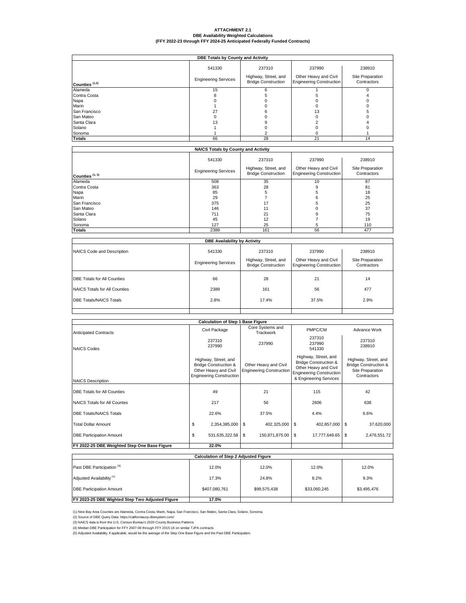# **ATTACHMENT 2.1 DBE Availability Weighted Calculations (FFY 2022-23 through FFY 2024-25 Anticipated Federally Funded Contracts)**

|                  |                                       |                                                              | <b>DBE Totals by County and Activity</b>                           |                                           |  |  |  |  |  |  |  |  |  |  |  |
|------------------|---------------------------------------|--------------------------------------------------------------|--------------------------------------------------------------------|-------------------------------------------|--|--|--|--|--|--|--|--|--|--|--|
| Counties $(1,2)$ | 541330<br><b>Engineering Services</b> | 237310<br>Highway, Street, and<br><b>Bridge Construction</b> | 237990<br>Other Heavy and Civil<br><b>Engineering Construction</b> | 238910<br>Site Preparation<br>Contractors |  |  |  |  |  |  |  |  |  |  |  |
| Alameda          | 15                                    |                                                              |                                                                    |                                           |  |  |  |  |  |  |  |  |  |  |  |
| Contra Costa     |                                       |                                                              |                                                                    |                                           |  |  |  |  |  |  |  |  |  |  |  |
| Napa             |                                       |                                                              |                                                                    |                                           |  |  |  |  |  |  |  |  |  |  |  |
| Marin            |                                       |                                                              |                                                                    |                                           |  |  |  |  |  |  |  |  |  |  |  |
| San Francisco    | 27                                    |                                                              | IЗ                                                                 |                                           |  |  |  |  |  |  |  |  |  |  |  |
| San Mateo        |                                       |                                                              |                                                                    |                                           |  |  |  |  |  |  |  |  |  |  |  |
| Santa Clara      | 13                                    |                                                              |                                                                    |                                           |  |  |  |  |  |  |  |  |  |  |  |
| Solano           |                                       |                                                              |                                                                    |                                           |  |  |  |  |  |  |  |  |  |  |  |
| Sonoma           |                                       |                                                              |                                                                    |                                           |  |  |  |  |  |  |  |  |  |  |  |
| <b>Totals</b>    | 66                                    | 28                                                           | 21                                                                 | 14                                        |  |  |  |  |  |  |  |  |  |  |  |

|                   | <b>NAICS Totals by County and Activity</b> |                                                              |                                                                    |                                           |
|-------------------|--------------------------------------------|--------------------------------------------------------------|--------------------------------------------------------------------|-------------------------------------------|
| Counties $(1, 3)$ | 541330<br><b>Engineering Services</b>      | 237310<br>Highway, Street, and<br><b>Bridge Construction</b> | 237990<br>Other Heavy and Civil<br><b>Engineering Construction</b> | 238910<br>Site Preparation<br>Contractors |
| Alameda           | 508                                        | 35                                                           | 10                                                                 | 87                                        |
| Contra Costa      | 363                                        | 28                                                           | 9                                                                  | 81                                        |
| Napa              | 85                                         |                                                              |                                                                    | 18                                        |
| Marin             | 29                                         |                                                              |                                                                    | 25                                        |
| San Francisco     | 375                                        | 17                                                           |                                                                    | 25                                        |
| <b>San Mateo</b>  | 146                                        | 11                                                           |                                                                    | 37                                        |
| Santa Clara       | 711                                        | 21                                                           |                                                                    | 75                                        |
| Solano            | 45                                         | 12                                                           |                                                                    | 19                                        |
| Sonoma            | 127                                        | 25                                                           |                                                                    | 110                                       |
| <b>Totals</b>     | 2389                                       | 161                                                          | 56                                                                 | 477                                       |

|                                              | <b>Calculation of Step 1 Base Figure</b>                                                                             |                                                          |                                                                                                                                                |                                                                                             |  |  |  |  |  |  |  |  |  |
|----------------------------------------------|----------------------------------------------------------------------------------------------------------------------|----------------------------------------------------------|------------------------------------------------------------------------------------------------------------------------------------------------|---------------------------------------------------------------------------------------------|--|--|--|--|--|--|--|--|--|
| <b>Anticipated Contracts</b>                 | Civil Package                                                                                                        | Core Systems and<br><b>Trackwork</b>                     | PMPC/CM                                                                                                                                        | Advance Work                                                                                |  |  |  |  |  |  |  |  |  |
| <b>NAICS Codes</b>                           | 237310<br>237990                                                                                                     | 237990                                                   | 237310<br>237990<br>541330                                                                                                                     | 237310<br>238910                                                                            |  |  |  |  |  |  |  |  |  |
| <b>NAICS Description</b>                     | Highway, Street, and<br><b>Bridge Construction &amp;</b><br>Other Heavy and Civil<br><b>Engineering Construction</b> | Other Heavy and Civil<br><b>Engineering Construction</b> | Highway, Street, and<br><b>Bridge Construction &amp;</b><br>Other Heavy and Civil<br><b>Engineering Construction</b><br>& Engineering Services | Highway, Street, and<br><b>Bridge Construction &amp;</b><br>Site Preparation<br>Contractors |  |  |  |  |  |  |  |  |  |
| <b>DBE Totals for All Counties</b>           | 49                                                                                                                   | 21                                                       | 115                                                                                                                                            | 42                                                                                          |  |  |  |  |  |  |  |  |  |
| NAICS Totals for All Countes                 | 217                                                                                                                  | 56                                                       | 2606                                                                                                                                           | 638                                                                                         |  |  |  |  |  |  |  |  |  |
| <b>DBE Totals/NAICS Totals</b>               | 22.6%                                                                                                                | 37.5%                                                    | 4.4%                                                                                                                                           | 6.6%                                                                                        |  |  |  |  |  |  |  |  |  |
| Total Dollar Amount                          | \$<br>2,354,385,000                                                                                                  | \$<br>402,325,000                                        | \$<br>402,857,000                                                                                                                              | \$<br>37,620,000                                                                            |  |  |  |  |  |  |  |  |  |
| <b>DBE Participation Amount</b>              | \$<br>531,635,322.58                                                                                                 | \$<br>150,871,875.00                                     | \$<br>17,777,649.65                                                                                                                            | $\boldsymbol{\mathsf{S}}$<br>2,476,551.72                                                   |  |  |  |  |  |  |  |  |  |
| FY 2022-25 DBE Weighted Step One Base Figure | 22.0%                                                                                                                |                                                          |                                                                                                                                                |                                                                                             |  |  |  |  |  |  |  |  |  |

|                                    | <b>DBE Availability by Activity</b>   |                                                              |                                                                    |                                           |
|------------------------------------|---------------------------------------|--------------------------------------------------------------|--------------------------------------------------------------------|-------------------------------------------|
| NAICS Code and Description         | 541330<br><b>Engineering Services</b> | 237310<br>Highway, Street, and<br><b>Bridge Construction</b> | 237990<br>Other Heavy and Civil<br><b>Engineering Construction</b> | 238910<br>Site Preparation<br>Contractors |
| <b>DBE Totals for All Counties</b> | 66                                    | 28                                                           | 21                                                                 | 14                                        |
| NAICS Totals for All Counties      | 2389                                  | 161                                                          | 56                                                                 | 477                                       |
| <b>DBE Totals/NAICS Totals</b>     | 2.8%                                  | 17.4%                                                        | 37.5%                                                              | 2.9%                                      |
|                                    |                                       |                                                              |                                                                    |                                           |

|                                                        | <b>Calculation of Step 2 Adjusted Figure</b> |              |              |             |
|--------------------------------------------------------|----------------------------------------------|--------------|--------------|-------------|
| Past DBE Participation <sup>(4)</sup>                  | 12.0%                                        | 12.0%        | 12.0%        | 12.0%       |
| Adjusted Availability <sup>(5)</sup>                   | 17.3%                                        | 24.8%        | 8.2%         | 9.3%        |
| <b>DBE Participation Amount</b>                        | \$407,080,761                                | \$99,575,438 | \$33,060,245 | \$3,495,476 |
| <b>FY 2023-25 DBE Wighted Step Two Adjusted Figure</b> | 17.0%                                        |              |              |             |

(1) Nine Bay Area Counties are Alameda, Contra Costa, Marin, Napa, San Francisco, San Mateo, Santa Clara, Solano, Sonoma.

(2) Source of DBE Query Data: https://californiaucp.dbesystem.com/

(3) NAICS data is from the U.S. Census Bureau's 2020 County Business Patterns

(5) Adjusted Availability, if applicable, would be the average of the Step One Base Figure and the Past DBE Participation.

(4) Median DBE Participation for FFY 2007-08 through FFY 2015-16 on similar TJPA contracts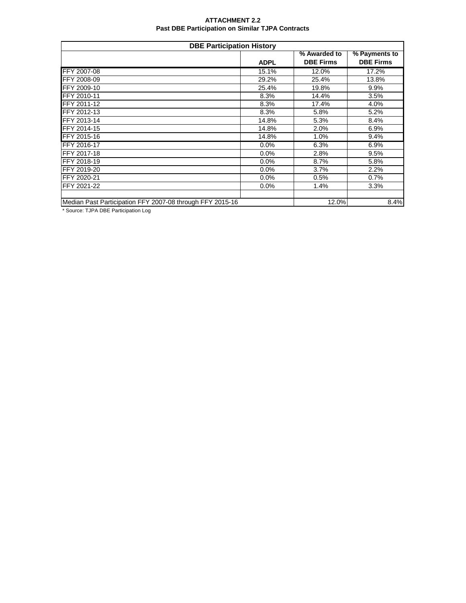### **ATTACHMENT 2.2 Past DBE Participation on Similar TJPA Contracts**

|                                                           | <b>DBE Participation History</b> |                                  |                                   |
|-----------------------------------------------------------|----------------------------------|----------------------------------|-----------------------------------|
|                                                           | <b>ADPL</b>                      | % Awarded to<br><b>DBE Firms</b> | % Payments to<br><b>DBE Firms</b> |
| FFY 2007-08                                               | 15.1%                            | 12.0%                            | 17.2%                             |
| FFY 2008-09                                               | 29.2%                            | 25.4%                            | 13.8%                             |
| FFY 2009-10                                               | 25.4%                            | 19.8%                            | 9.9%                              |
| FFY 2010-11                                               | 8.3%                             | 14.4%                            | 3.5%                              |
| FFY 2011-12                                               | 8.3%                             | 17.4%                            | 4.0%                              |
| FFY 2012-13                                               | 8.3%                             | 5.8%                             | 5.2%                              |
| FFY 2013-14                                               | 14.8%                            | 5.3%                             | 8.4%                              |
| FFY 2014-15                                               | 14.8%                            | 2.0%                             | 6.9%                              |
| FFY 2015-16                                               | 14.8%                            | 1.0%                             | 9.4%                              |
| FFY 2016-17                                               | 0.0%                             | 6.3%                             | 6.9%                              |
| FFY 2017-18                                               | 0.0%                             | 2.8%                             | 9.5%                              |
| FFY 2018-19                                               | 0.0%                             | 8.7%                             | 5.8%                              |
| FFY 2019-20                                               | 0.0%                             | 3.7%                             | 2.2%                              |
| FFY 2020-21                                               | 0.0%                             | 0.5%                             | 0.7%                              |
| FFY 2021-22                                               | 0.0%                             | 1.4%                             | 3.3%                              |
| Median Past Participation FFY 2007-08 through FFY 2015-16 |                                  | 12.0%                            | 8.4%                              |

\* Source: TJPA DBE Participation Log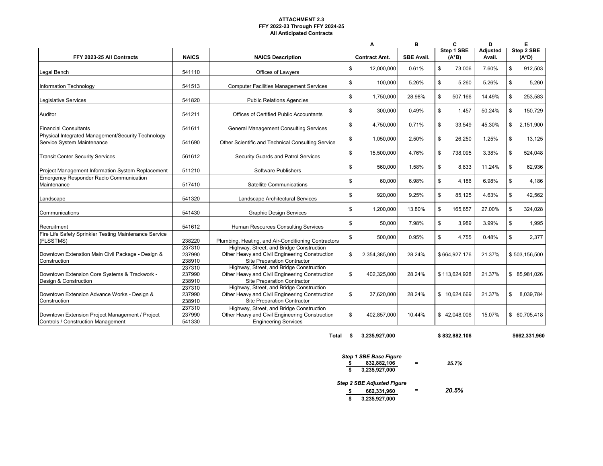## **ATTACHMENT 2.3 FFY 2022-23 Through FFY 2024-25 All Anticipated Contracts**

|                                                                                       |                            |                                                                                                                                  | A                    | В                 | $\mathbf c$            | D                         |     | E                      |
|---------------------------------------------------------------------------------------|----------------------------|----------------------------------------------------------------------------------------------------------------------------------|----------------------|-------------------|------------------------|---------------------------|-----|------------------------|
| FFY 2023-25 All Contracts                                                             | <b>NAICS</b>               | <b>NAICS Description</b>                                                                                                         | <b>Contract Amt.</b> | <b>SBE Avail.</b> | Step 1 SBE<br>$(A^*B)$ | <b>Adjusted</b><br>Avail. |     | Step 2 SBE<br>$(A^*D)$ |
| Legal Bench                                                                           | 541110                     | Offices of Lawyers                                                                                                               | \$<br>12,000,000     | 0.61%             | \$<br>73,006           | 7.60%                     | \$  | 912,503                |
| Information Technology                                                                | 541513                     | <b>Computer Facilities Management Services</b>                                                                                   | \$<br>100,000        | 5.26%             | \$<br>5,260            | 5.26%                     | \$  | 5,260                  |
| Legislative Services                                                                  | 541820                     | <b>Public Relations Agencies</b>                                                                                                 | \$<br>1,750,000      | 28.98%            | \$<br>507,166          | 14.49%                    |     | 253,583                |
| Auditor                                                                               | 541211                     | <b>Offices of Certified Public Accountants</b>                                                                                   | \$<br>300,000        | 0.49%             | \$<br>1,457            | 50.24%                    | \$  | 150,729                |
| <b>Financial Consultants</b>                                                          | 541611                     | <b>General Management Consulting Services</b>                                                                                    | \$<br>4,750,000      | 0.71%             | \$<br>33,549           | 45.30%                    | \$  | 2,151,900              |
| Physical Integrated Management/Security Technology<br>Service System Maintenance      | 541690                     | Other Scientific and Technical Consulting Service                                                                                | \$<br>1,050,000      | 2.50%             | \$<br>26,250           | 1.25%                     | -\$ | 13,125                 |
| <b>Transit Center Security Services</b>                                               | 561612                     | <b>Security Guards and Patrol Services</b>                                                                                       | \$<br>15,500,000     | 4.76%             | \$<br>738,095          | 3.38%                     | \$  | 524,048                |
| Project Management Information System Replacement                                     | 511210                     | Software Publishers                                                                                                              | \$<br>560,000        | 1.58%             | \$<br>8,833            | 11.24%                    | \$. | 62,936                 |
| <b>Emergency Responder Radio Communication</b><br>Maintenance                         | 517410                     | <b>Satellite Communications</b>                                                                                                  | \$<br>60,000         | 6.98%             | \$<br>4,186            | 6.98%                     | \$  | 4,186                  |
| Landscape                                                                             | 541320                     | Landscape Architectural Services                                                                                                 | \$<br>920,000        | 9.25%             | \$<br>85,125           | 4.63%                     | \$  | 42,562                 |
| Communications                                                                        | 541430                     | <b>Graphic Design Services</b>                                                                                                   | \$<br>1,200,000      | 13.80%            | \$<br>165,657          | 27.00%                    | \$  | 324,028                |
| Recruitment                                                                           | 541612                     | Human Resources Consulting Services                                                                                              | \$<br>50,000         | 7.98%             | \$<br>3,989            | 3.99%                     | \$  | 1,995                  |
| Fire Life Safety Sprinkler Testing Maintenance Service<br>(FLSSTMS)                   | 238220                     | Plumbing, Heating, and Air-Conditioning Contractors                                                                              | \$<br>500,000        | 0.95%             | \$<br>4,755            | 0.48%                     | \$  | 2,377                  |
| Downtown Extenstion Main Civil Package - Design &<br>Construction                     | 237310<br>237990<br>238910 | Highway, Street, and Bridge Construction<br>Other Heavy and Civil Engineering Construction<br><b>Site Preparation Contractor</b> | \$<br>2,354,385,000  | 28.24%            | \$664,927,176          | 21.37%                    |     | \$503,156,500          |
| Downtown Extension Core Systems & Trackwork -<br>Design & Construction                | 237310<br>237990<br>238910 | Highway, Street, and Bridge Construction<br>Other Heavy and Civil Engineering Construction<br><b>Site Preparation Contractor</b> | \$<br>402,325,000    | 28.24%            | \$113,624,928          | 21.37%                    |     | \$ 85,981,026          |
| Downtown Extension Advance Works - Design &<br>Construction                           | 237310<br>237990<br>238910 | Highway, Street, and Bridge Construction<br>Other Heavy and Civil Engineering Construction<br><b>Site Preparation Contractor</b> | \$<br>37,620,000     | 28.24%            | \$10,624,669           | 21.37%                    | \$  | 8,039,784              |
| Downtown Extension Project Management / Project<br>Controls / Construction Management | 237310<br>237990<br>541330 | Highway, Street, and Bridge Construction<br>Other Heavy and Civil Engineering Construction<br><b>Engineering Services</b>        | \$<br>402,857,000    | 10.44%            | \$42,048,006           | 15.07%                    | \$  | 60,705,418             |

**Total \$ 3,235,927,000 \$ 832,882,106 \$662,331,960**

|    | <b>Step 1 SBE Base Figure</b>     |       |
|----|-----------------------------------|-------|
| S  | 832,882,106                       | 25.7% |
| \$ | 3,235,927,000                     |       |
|    | <b>Step 2 SBE Adjusted Figure</b> |       |
| S  | 662,331,960                       | 20.5% |
| \$ | 3,235,927,000                     |       |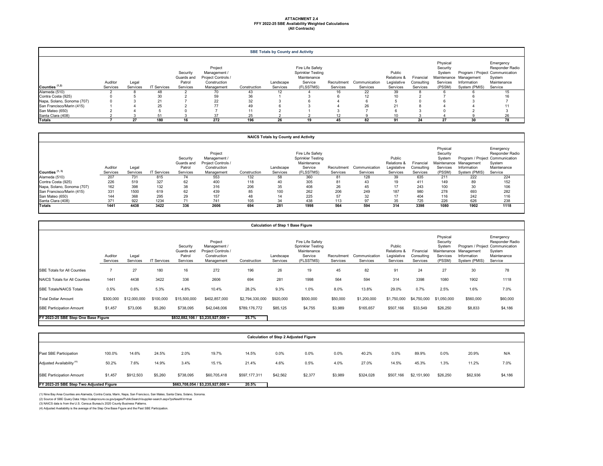|                            |                     |                   |                    |                                              |                                                                             |              | <b>SBE Totals by County and Activity</b> |                                                                                     |                         |                           |                                                             |                                     |                                                      |                                                        |                                                                                                     |
|----------------------------|---------------------|-------------------|--------------------|----------------------------------------------|-----------------------------------------------------------------------------|--------------|------------------------------------------|-------------------------------------------------------------------------------------|-------------------------|---------------------------|-------------------------------------------------------------|-------------------------------------|------------------------------------------------------|--------------------------------------------------------|-----------------------------------------------------------------------------------------------------|
| Counties (1,2)             | Auditor<br>Services | Legal<br>Services | <b>IT Services</b> | Security<br>Guards and<br>Patrol<br>Services | Project<br>Management /<br>Project Controls /<br>Construction<br>Management | Construction | Landscape<br>Services                    | Fire Life Safety<br><b>Sprinkler Testing</b><br>Maintenance<br>Service<br>(FLSSTMS) | Recruitment<br>Services | Communication<br>Services | Public<br><b>Relations &amp;</b><br>Legislative<br>Services | Financial<br>Consulting<br>Services | Physical<br>Security<br>System<br>Services<br>(PSSM) | Maintenance Management<br>Information<br>System (PMIS) | Emergency<br>Responder Radio<br>Program / Project Communication<br>System<br>Maintenance<br>Service |
| Alameda (510)              |                     |                   | 48                 |                                              | 70                                                                          | 43           | 12                                       |                                                                                     | 16                      | 22                        | 39                                                          |                                     |                                                      |                                                        |                                                                                                     |
| Contra Costa (925)         |                     |                   | 30                 |                                              | 59                                                                          | 36           |                                          |                                                                                     |                         | 12                        |                                                             |                                     |                                                      |                                                        |                                                                                                     |
| Napa, Solano, Sonoma (707) |                     |                   | 21                 |                                              | 22                                                                          | 32           |                                          |                                                                                     |                         |                           |                                                             |                                     |                                                      |                                                        |                                                                                                     |
| San Francisco/Marin (415)  |                     |                   | 25                 |                                              | 77                                                                          | 49           |                                          |                                                                                     |                         | 26                        |                                                             |                                     |                                                      |                                                        |                                                                                                     |
| San Mateo (650)            |                     |                   |                    |                                              |                                                                             |              |                                          |                                                                                     |                         |                           |                                                             |                                     |                                                      |                                                        |                                                                                                     |
| Santa Clara (408)          |                     |                   |                    |                                              |                                                                             | 25           |                                          |                                                                                     |                         |                           |                                                             |                                     |                                                      |                                                        | 26                                                                                                  |
| <b>Totals</b>              |                     | 27                | 180                | 16                                           | 272                                                                         | 196          | 26                                       | 19                                                                                  | 45.                     | 82                        |                                                             | 24                                  | ົ                                                    | 30                                                     | 78                                                                                                  |

|                            |          |          |                    |                                  |                                                               |              | <b>NAICS Totals by County and Activity</b> |                                                                        |             |               |                                                 |                         |                                            |                                                                          |                                                       |
|----------------------------|----------|----------|--------------------|----------------------------------|---------------------------------------------------------------|--------------|--------------------------------------------|------------------------------------------------------------------------|-------------|---------------|-------------------------------------------------|-------------------------|--------------------------------------------|--------------------------------------------------------------------------|-------------------------------------------------------|
| Counties (1, 3)            | Auditor  | Legal    |                    | Security<br>Guards and<br>Patrol | Project<br>Management /<br>Project Controls /<br>Construction |              | Landscape                                  | Fire Life Safety<br><b>Sprinkler Testing</b><br>Maintenance<br>Service | Recruitment | Communication | Public<br><b>Relations &amp;</b><br>Legislative | Financial<br>Consulting | Physical<br>Security<br>System<br>Services | Program / Project Communication<br>Maintenance Management<br>Information | Emergency<br>Responder Radio<br>System<br>Maintenance |
|                            | Services | Services | <b>IT Services</b> | Services                         | Management                                                    | Construction | Services                                   | (FLSSTMS)                                                              | Services    | Services      | Services                                        | Services                | (PSSM)                                     | System (PMIS)                                                            | Service                                               |
| Alameda (510)              | 207      | 731      | 815                | 74                               | 553                                                           | 132          | 58                                         | 360                                                                    | 81          | 128           | 39                                              | 635                     | 211                                        | 222                                                                      | 224                                                   |
| Contra Costa (925)         | 226      | 519      | 327                | 62                               | 400                                                           | 118          | 40                                         | 305                                                                    | 81          | 43            |                                                 | 411                     | 149                                        |                                                                          | 152                                                   |
| Napa, Solano, Sonoma (707) | 162      | 398      | 132                | 38                               | 316                                                           | 206          | 35                                         | 408                                                                    | 26          | 45            |                                                 | 243                     | 100                                        | 30                                                                       | 106                                                   |
| San Francisco/Marin (415)  | 331      | 1500     | 619                | 62                               | 439                                                           | 85           | 100                                        | 262                                                                    | 206         | 249           | 187                                             | 980                     | 278                                        | 693                                                                      | 282                                                   |
| San Mateo (650)            | 144      | 368      | 295                | 29                               | 157                                                           | 48           | 14                                         | 225                                                                    | 57          | 32            |                                                 | 404                     | 116                                        | 242                                                                      | 116                                                   |
| Santa Clara (408)          | 371      | 922      | 1234               |                                  | 741                                                           | 105          | 34                                         | 438                                                                    | 113         | 97            | 35                                              | 725                     | 226                                        | 626                                                                      | 238                                                   |
| <b>Totals</b>              | 1441     | 4438     | 3422               | 336                              | 2606                                                          | 694          | 281                                        | 1998                                                                   | 564         | 594           | 314                                             | 3398                    | 1080                                       | 1902                                                                     | 1118                                                  |

|                                      |                     |                   |                    |                                              |                                                                             |                 | <b>Calculation of Step 1 Base Figure</b> |                                                                                     |                         |                           |                                                             |                                     |                                                                     |                                            |                                                                                                     |
|--------------------------------------|---------------------|-------------------|--------------------|----------------------------------------------|-----------------------------------------------------------------------------|-----------------|------------------------------------------|-------------------------------------------------------------------------------------|-------------------------|---------------------------|-------------------------------------------------------------|-------------------------------------|---------------------------------------------------------------------|--------------------------------------------|-----------------------------------------------------------------------------------------------------|
|                                      | Auditor<br>Services | Legal<br>Services | <b>IT Services</b> | Security<br>Guards and<br>Patrol<br>Services | Project<br>Management /<br>Project Controls /<br>Construction<br>Management | Construction    | Landscape<br>Services                    | Fire Life Safety<br><b>Sprinkler Testing</b><br>Maintenance<br>Service<br>(FLSSTMS) | Recruitment<br>Services | Communication<br>Services | Public<br><b>Relations &amp;</b><br>Legislative<br>Services | Financial<br>Consulting<br>Services | Physical<br>Security<br>System<br>Maintenance<br>Services<br>(PSSM) | Management<br>Information<br>System (PMIS) | Emergency<br>Responder Radio<br>Program / Project Communication<br>System<br>Maintenance<br>Service |
| <b>SBE Totals for All Counties</b>   |                     | 27                | 180                | 16                                           | 272                                                                         | 196             | 26                                       | 19                                                                                  | 45                      | 82                        | 91                                                          | 24                                  | 27                                                                  | 30                                         | 78                                                                                                  |
| <b>NAICS Totals for All Counties</b> | 1441                | 4438              | 3422               | 336                                          | 2606                                                                        | 694             | 281                                      | 1998                                                                                | 564                     | 594                       | 314                                                         | 3398                                | 1080                                                                | 1902                                       | 1118                                                                                                |
| <b>SBE Totals/NAICS Totals</b>       | 0.5%                | 0.6%              | 5.3%               | 4.8%                                         | 10.4%                                                                       | 28.2%           | 9.3%                                     | 1.0%                                                                                | 8.0%                    | 13.8%                     | 29.0%                                                       | 0.7%                                | 2.5%                                                                | 1.6%                                       | 7.0%                                                                                                |
| <b>Total Dollar Amount</b>           | \$300,000           | \$12,000,000      | \$100,000          | \$15,500,000                                 | \$402,857,000                                                               | \$2,794,330,000 | \$920,000                                | \$500,000                                                                           | \$50,000                | \$1,200,000               | \$1,750,000                                                 | \$4,750,000                         | \$1,050,000                                                         | \$560,000                                  | \$60,000                                                                                            |
| <b>SBE Participation Amount</b>      | \$1,457             | \$73,006          | \$5,260            | \$738,095                                    | \$42,048,006                                                                | \$789,176,772   | \$85,125                                 | \$4,755                                                                             | \$3,989                 | \$165,657                 | \$507,166                                                   | \$33,549                            | \$26,250                                                            | \$8,833                                    | \$4,186                                                                                             |
| FY 2023-25 SBE Step One Base Figure  |                     |                   |                    |                                              | $$832,882,106 / $3,235,927,000 =$                                           | 25.7%           |                                          |                                                                                     |                         |                           |                                                             |                                     |                                                                     |                                            |                                                                                                     |

| <b>Calculation of Step 2 Adjusted Figure</b> |         |           |         |                                   |              |               |          |         |         |           |           |             |          |          |         |
|----------------------------------------------|---------|-----------|---------|-----------------------------------|--------------|---------------|----------|---------|---------|-----------|-----------|-------------|----------|----------|---------|
| Past SBE Participation                       | 100.0%  | 14.6%     | 24.5%   | 2.0%                              | 19.7%        | 14.5%         | 0.0%     | 0.0%    | 0.0%    | 40.2%     | 0.0%      | 89.9%       | 0.0%     | 20.9%    | N/A     |
| Adjusted Availability <sup>(4)</sup>         | 50.2%   | 7.6%      | 14.9%   | 3.4%                              | 15.1%        | 21.4%         | 4.6%     | 0.5%    | 4.0%    | 27.0%     | 14.5%     | 45.3%       | 1.3%     | 11.2%    | 7.0%    |
| <b>SBE Participation Amount</b>              | \$1,457 | \$912,503 | \$5,260 | \$738,095                         | \$60,705,418 | \$597,177,311 | \$42,562 | \$2,377 | \$3,989 | \$324,028 | \$507,166 | \$2,151,900 | \$26,250 | \$62,936 | \$4,186 |
| FY 2023-25 SBE Step Two Adjusted Figure      |         |           |         | $$663,708,054 / $3,235,927,000 =$ | 20.5%        |               |          |         |         |           |           |             |          |          |         |

(1) Nine Bay Area Counties are Alameda, Contra Costa, Marin, Napa, San Francisco, San Mateo, Santa Clara, Solano, Sonoma.

(2) Source of SBE Query Data: https://caleprocure.ca.gov/pages/PublicSearch/supplier-search.aspx?psNewWin=true

(3) NAICS data is from the U.S. Census Bureau's 2020 County Business Patterns.

(4) Adjusted Availability is the average of the Step One Base Figure and the Past SBE Participation.